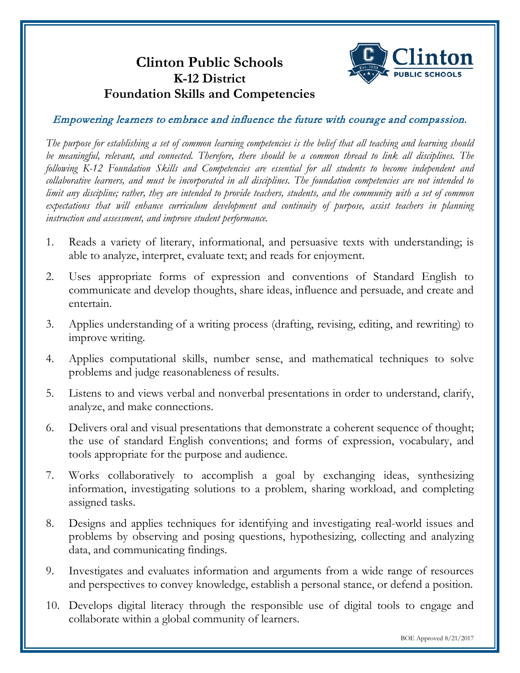# **Clinton Public Schools K-12 District Foundation Skills and Competencies**



Empowering learners to embrace and influence the future with courage and compassion.

*The purpose for establishing a set of common learning competencies is the belief that all teaching and learning should be meaningful, relevant, and connected. Therefore, there should be a common thread to link all disciplines. The following K-12 Foundation Skills and Competencies are essential for all students to become independent and collaborative learners, and must be incorporated in all disciplines. The foundation competencies are not intended to limit any discipline; rather, they are intended to provide teachers, students, and the community with a set of common expectations that will enhance curriculum development and continuity of purpose, assist teachers in planning instruction and assessment, and improve student performance.* 

- 1. Reads a variety of literary, informational, and persuasive texts with understanding; is able to analyze, interpret, evaluate text; and reads for enjoyment.
- 2. Uses appropriate forms of expression and conventions of Standard English to communicate and develop thoughts, share ideas, influence and persuade, and create and entertain.
- 3. Applies understanding of a writing process (drafting, revising, editing, and rewriting) to improve writing.
- 4. Applies computational skills, number sense, and mathematical techniques to solve problems and judge reasonableness of results.
- 5. Listens to and views verbal and nonverbal presentations in order to understand, clarify, analyze, and make connections.
- 6. Delivers oral and visual presentations that demonstrate a coherent sequence of thought; the use of standard English conventions; and forms of expression, vocabulary, and tools appropriate for the purpose and audience.
- 7. Works collaboratively to accomplish a goal by exchanging ideas, synthesizing information, investigating solutions to a problem, sharing workload, and completing assigned tasks.
- 8. Designs and applies techniques for identifying and investigating real-world issues and problems by observing and posing questions, hypothesizing, collecting and analyzing data, and communicating findings.
- 9. Investigates and evaluates information and arguments from a wide range of resources and perspectives to convey knowledge, establish a personal stance, or defend a position.
- 10. Develops digital literacy through the responsible use of digital tools to engage and collaborate within a global community of learners.

BOE Approved 8/21/2017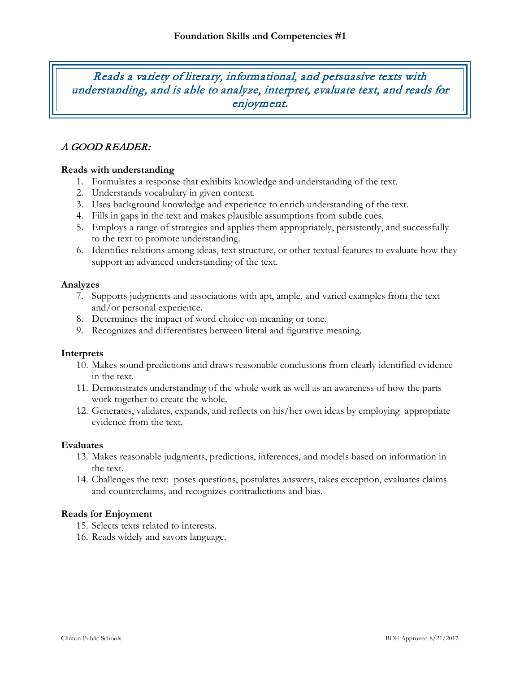Reads a variety of literary, informational, and persuasive texts with understanding, and is able to analyze, interpret, evaluate text, and reads for enjoyment.

# A GOOD READER:

#### **Reads with understanding**

- 1. Formulates a response that exhibits knowledge and understanding of the text.
- 2. Understands vocabulary in given context.
- 3. Uses background knowledge and experience to enrich understanding of the text.
- 4. Fills in gaps in the text and makes plausible assumptions from subtle cues.
- 5. Employs a range of strategies and applies them appropriately, persistently, and successfully to the text to promote understanding.
- 6. Identifies relations among ideas, text structure, or other textual features to evaluate how they support an advanced understanding of the text.

#### **Analyzes**

- 7. Supports judgments and associations with apt, ample, and varied examples from the text and/or personal experience.
- 8. Determines the impact of word choice on meaning or tone.
- 9. Recognizes and differentiates between literal and figurative meaning.

#### **Interprets**

- 10. Makes sound predictions and draws reasonable conclusions from clearly identified evidence in the text.
- 11. Demonstrates understanding of the whole work as well as an awareness of how the parts work together to create the whole.
- 12. Generates, validates, expands, and reflects on his/her own ideas by employing appropriate evidence from the text.

#### **Evaluates**

- 13. Makes reasonable judgments, predictions, inferences, and models based on information in the text.
- 14. Challenges the text: poses questions, postulates answers, takes exception, evaluates claims and counterclaims, and recognizes contradictions and bias.

#### **Reads for Enjoyment**

- 15. Selects texts related to interests.
- 16. Reads widely and savors language.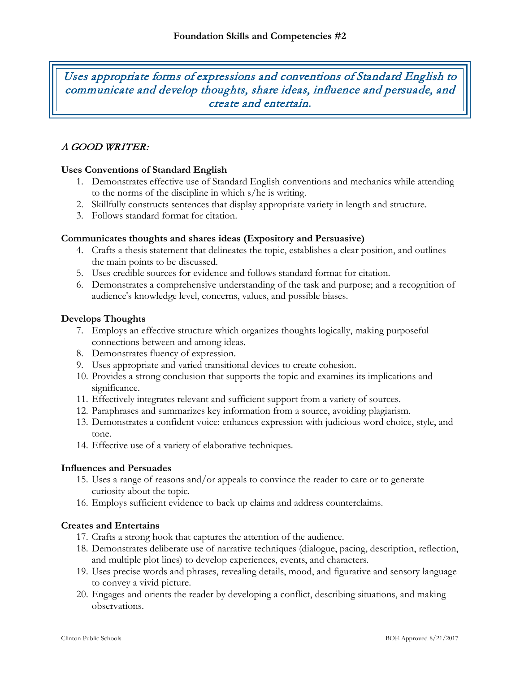Uses appropriate forms of expressions and conventions of Standard English to communicate and develop thoughts, share ideas, influence and persuade, and create and entertain.

# A GOOD WRITER:

# **Uses Conventions of Standard English**

- 1. Demonstrates effective use of Standard English conventions and mechanics while attending to the norms of the discipline in which s/he is writing.
- 2. Skillfully constructs sentences that display appropriate variety in length and structure.
- 3. Follows standard format for citation.

# **Communicates thoughts and shares ideas (Expository and Persuasive)**

- 4. Crafts a thesis statement that delineates the topic, establishes a clear position, and outlines the main points to be discussed.
- 5. Uses credible sources for evidence and follows standard format for citation.
- 6. Demonstrates a comprehensive understanding of the task and purpose; and a recognition of audience's knowledge level, concerns, values, and possible biases.

## **Develops Thoughts**

- 7. Employs an effective structure which organizes thoughts logically, making purposeful connections between and among ideas.
- 8. Demonstrates fluency of expression.
- 9. Uses appropriate and varied transitional devices to create cohesion.
- 10. Provides a strong conclusion that supports the topic and examines its implications and significance.
- 11. Effectively integrates relevant and sufficient support from a variety of sources.
- 12. Paraphrases and summarizes key information from a source, avoiding plagiarism.
- 13. Demonstrates a confident voice: enhances expression with judicious word choice, style, and tone.
- 14. Effective use of a variety of elaborative techniques.

## **Influences and Persuades**

- 15. Uses a range of reasons and/or appeals to convince the reader to care or to generate curiosity about the topic.
- 16. Employs sufficient evidence to back up claims and address counterclaims.

## **Creates and Entertains**

- 17. Crafts a strong hook that captures the attention of the audience.
- 18. Demonstrates deliberate use of narrative techniques (dialogue, pacing, description, reflection, and multiple plot lines) to develop experiences, events, and characters.
- 19. Uses precise words and phrases, revealing details, mood, and figurative and sensory language to convey a vivid picture.
- 20. Engages and orients the reader by developing a conflict, describing situations, and making observations.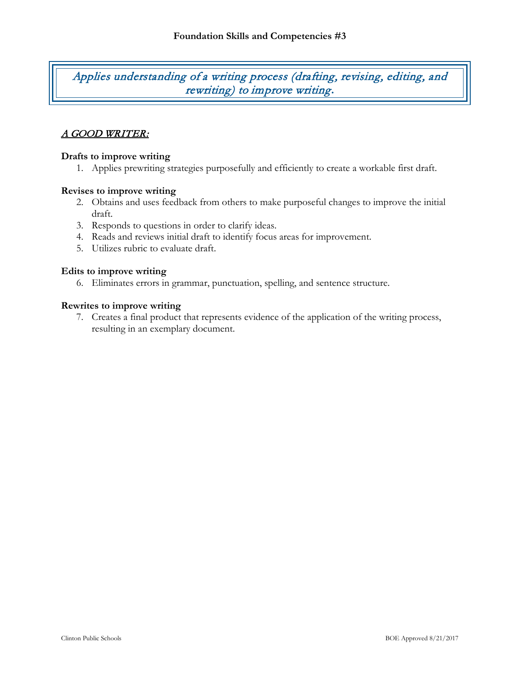Applies understanding of a writing process (drafting, revising, editing, and rewriting) to improve writing**.**

# A GOOD WRITER:

### **Drafts to improve writing**

1. Applies prewriting strategies purposefully and efficiently to create a workable first draft.

#### **Revises to improve writing**

- 2. Obtains and uses feedback from others to make purposeful changes to improve the initial draft.
- 3. Responds to questions in order to clarify ideas.
- 4. Reads and reviews initial draft to identify focus areas for improvement.
- 5. Utilizes rubric to evaluate draft.

#### **Edits to improve writing**

6. Eliminates errors in grammar, punctuation, spelling, and sentence structure.

#### **Rewrites to improve writing**

7. Creates a final product that represents evidence of the application of the writing process, resulting in an exemplary document.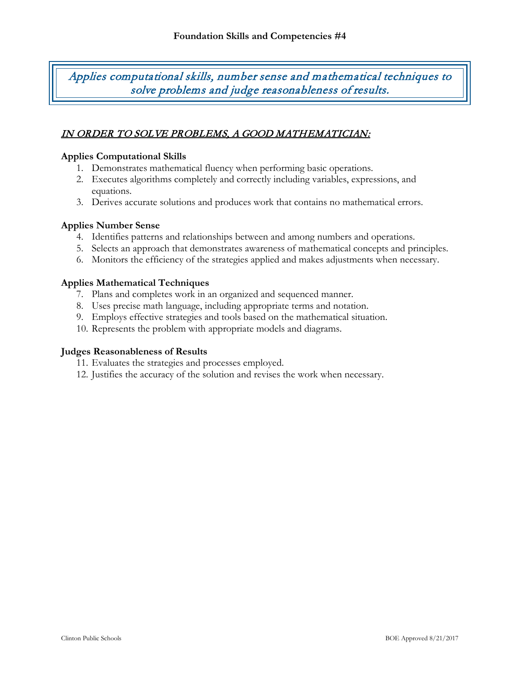Applies computational skills, number sense and mathematical techniques to solve problems and judge reasonableness of results.

# IN ORDER TO SOLVE PROBLEMS, A GOOD MATHEMATICIAN:

## **Applies Computational Skills**

- 1. Demonstrates mathematical fluency when performing basic operations.
- 2. Executes algorithms completely and correctly including variables, expressions, and equations.
- 3. Derives accurate solutions and produces work that contains no mathematical errors.

#### **Applies Number Sense**

- 4. Identifies patterns and relationships between and among numbers and operations.
- 5. Selects an approach that demonstrates awareness of mathematical concepts and principles.
- 6. Monitors the efficiency of the strategies applied and makes adjustments when necessary.

#### **Applies Mathematical Techniques**

- 7. Plans and completes work in an organized and sequenced manner.
- 8. Uses precise math language, including appropriate terms and notation.
- 9. Employs effective strategies and tools based on the mathematical situation.
- 10. Represents the problem with appropriate models and diagrams.

#### **Judges Reasonableness of Results**

- 11. Evaluates the strategies and processes employed.
- 12. Justifies the accuracy of the solution and revises the work when necessary.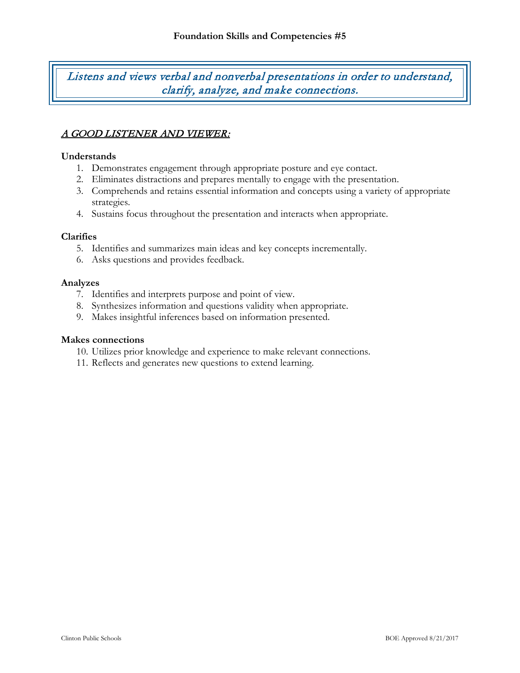Listens and views verbal and nonverbal presentations in order to understand, clarify, analyze, and make connections.

# A GOOD LISTENER AND VIEWER:

### **Understands**

- 1. Demonstrates engagement through appropriate posture and eye contact.
- 2. Eliminates distractions and prepares mentally to engage with the presentation.
- 3. Comprehends and retains essential information and concepts using a variety of appropriate strategies.
- 4. Sustains focus throughout the presentation and interacts when appropriate.

## **Clarifies**

- 5. Identifies and summarizes main ideas and key concepts incrementally.
- 6. Asks questions and provides feedback.

#### **Analyzes**

- 7. Identifies and interprets purpose and point of view.
- 8. Synthesizes information and questions validity when appropriate.
- 9. Makes insightful inferences based on information presented.

#### **Makes connections**

- 10. Utilizes prior knowledge and experience to make relevant connections.
- 11. Reflects and generates new questions to extend learning.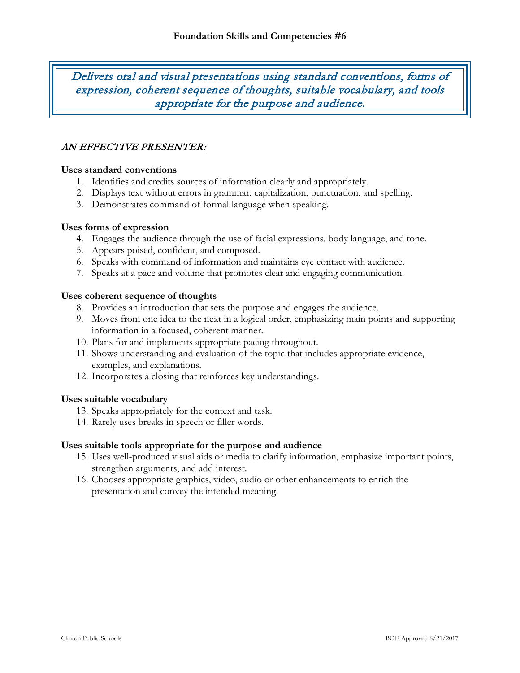Delivers oral and visual presentations using standard conventions, forms of expression, coherent sequence of thoughts, suitable vocabulary, and tools appropriate for the purpose and audience.

# AN EFFECTIVE PRESENTER:

#### **Uses standard conventions**

- 1. Identifies and credits sources of information clearly and appropriately.
- 2. Displays text without errors in grammar, capitalization, punctuation, and spelling.
- 3. Demonstrates command of formal language when speaking.

#### **Uses forms of expression**

- 4. Engages the audience through the use of facial expressions, body language, and tone.
- 5. Appears poised, confident, and composed.
- 6. Speaks with command of information and maintains eye contact with audience.
- 7. Speaks at a pace and volume that promotes clear and engaging communication.

#### **Uses coherent sequence of thoughts**

- 8. Provides an introduction that sets the purpose and engages the audience.
- 9. Moves from one idea to the next in a logical order, emphasizing main points and supporting information in a focused, coherent manner.
- 10. Plans for and implements appropriate pacing throughout.
- 11. Shows understanding and evaluation of the topic that includes appropriate evidence, examples, and explanations.
- 12. Incorporates a closing that reinforces key understandings.

#### **Uses suitable vocabulary**

- 13. Speaks appropriately for the context and task.
- 14. Rarely uses breaks in speech or filler words.

#### **Uses suitable tools appropriate for the purpose and audience**

- 15. Uses well-produced visual aids or media to clarify information, emphasize important points, strengthen arguments, and add interest.
- 16. Chooses appropriate graphics, video, audio or other enhancements to enrich the presentation and convey the intended meaning.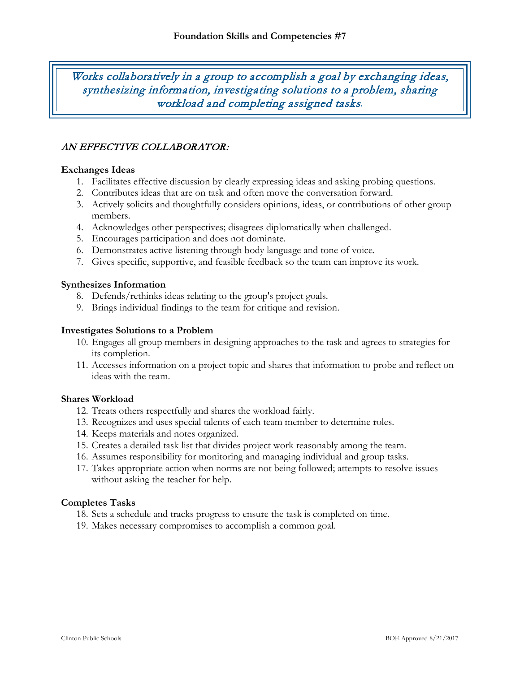Works collaboratively in a group to accomplish a goal by exchanging ideas, synthesizing information, investigating solutions to a problem, sharing workload and completing assigned tasks*.*

# AN EFFECTIVE COLLABORATOR:

## **Exchanges Ideas**

- 1. Facilitates effective discussion by clearly expressing ideas and asking probing questions.
- 2. Contributes ideas that are on task and often move the conversation forward.
- 3. Actively solicits and thoughtfully considers opinions, ideas, or contributions of other group members.
- 4. Acknowledges other perspectives; disagrees diplomatically when challenged.
- 5. Encourages participation and does not dominate.
- 6. Demonstrates active listening through body language and tone of voice.
- 7. Gives specific, supportive, and feasible feedback so the team can improve its work.

#### **Synthesizes Information**

- 8. Defends/rethinks ideas relating to the group's project goals.
- 9. Brings individual findings to the team for critique and revision.

#### **Investigates Solutions to a Problem**

- 10. Engages all group members in designing approaches to the task and agrees to strategies for its completion.
- 11. Accesses information on a project topic and shares that information to probe and reflect on ideas with the team.

## **Shares Workload**

- 12. Treats others respectfully and shares the workload fairly.
- 13. Recognizes and uses special talents of each team member to determine roles.
- 14. Keeps materials and notes organized.
- 15. Creates a detailed task list that divides project work reasonably among the team.
- 16. Assumes responsibility for monitoring and managing individual and group tasks.
- 17. Takes appropriate action when norms are not being followed; attempts to resolve issues without asking the teacher for help.

#### **Completes Tasks**

- 18. Sets a schedule and tracks progress to ensure the task is completed on time.
- 19. Makes necessary compromises to accomplish a common goal.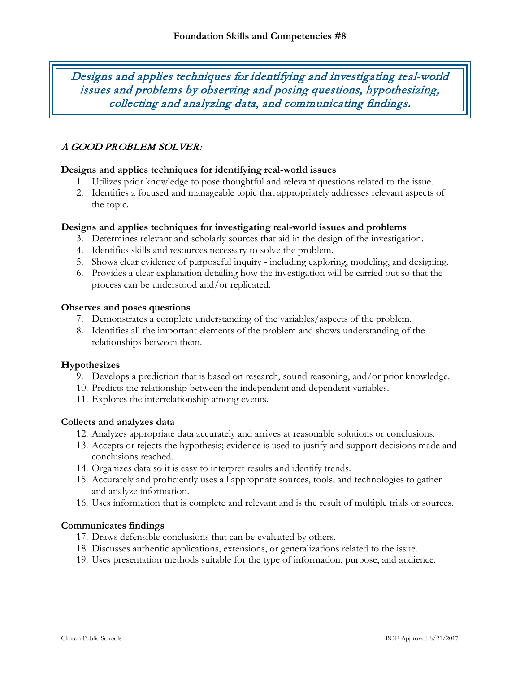Designs and applies techniques for identifying and investigating real-world issues and problems by observing and posing questions, hypothesizing, collecting and analyzing data, and communicating findings.

# A GOOD PROBLEM SOLVER:

#### **Designs and applies techniques for identifying real-world issues**

- 1. Utilizes prior knowledge to pose thoughtful and relevant questions related to the issue.
- 2. Identifies a focused and manageable topic that appropriately addresses relevant aspects of the topic.

#### **Designs and applies techniques for investigating real-world issues and problems**

- 3. Determines relevant and scholarly sources that aid in the design of the investigation.
- 4. Identifies skills and resources necessary to solve the problem.
- 5. Shows clear evidence of purposeful inquiry including exploring, modeling, and designing.
- 6. Provides a clear explanation detailing how the investigation will be carried out so that the process can be understood and/or replicated.

#### **Observes and poses questions**

- 7. Demonstrates a complete understanding of the variables/aspects of the problem.
- 8. Identifies all the important elements of the problem and shows understanding of the relationships between them.

#### **Hypothesizes**

- 9. Develops a prediction that is based on research, sound reasoning, and/or prior knowledge.
- 10. Predicts the relationship between the independent and dependent variables.
- 11. Explores the interrelationship among events.

#### **Collects and analyzes data**

- 12. Analyzes appropriate data accurately and arrives at reasonable solutions or conclusions.
- 13. Accepts or rejects the hypothesis; evidence is used to justify and support decisions made and conclusions reached.
- 14. Organizes data so it is easy to interpret results and identify trends.
- 15. Accurately and proficiently uses all appropriate sources, tools, and technologies to gather and analyze information.
- 16. Uses information that is complete and relevant and is the result of multiple trials or sources.

#### **Communicates findings**

- 17. Draws defensible conclusions that can be evaluated by others.
- 18. Discusses authentic applications, extensions, or generalizations related to the issue.
- 19. Uses presentation methods suitable for the type of information, purpose, and audience.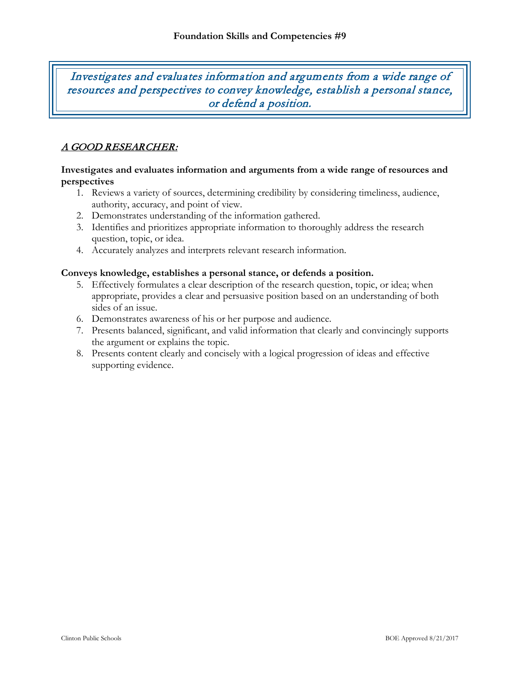Investigates and evaluates information and arguments from a wide range of resources and perspectives to convey knowledge, establish a personal stance, or defend a position.

# A GOOD RESEARCHER:

#### **Investigates and evaluates information and arguments from a wide range of resources and perspectives**

- 1. Reviews a variety of sources, determining credibility by considering timeliness, audience, authority, accuracy, and point of view.
- 2. Demonstrates understanding of the information gathered.
- 3. Identifies and prioritizes appropriate information to thoroughly address the research question, topic, or idea.
- 4. Accurately analyzes and interprets relevant research information.

#### **Conveys knowledge, establishes a personal stance, or defends a position.**

- 5. Effectively formulates a clear description of the research question, topic, or idea; when appropriate, provides a clear and persuasive position based on an understanding of both sides of an issue.
- 6. Demonstrates awareness of his or her purpose and audience.
- 7. Presents balanced, significant, and valid information that clearly and convincingly supports the argument or explains the topic.
- 8. Presents content clearly and concisely with a logical progression of ideas and effective supporting evidence.